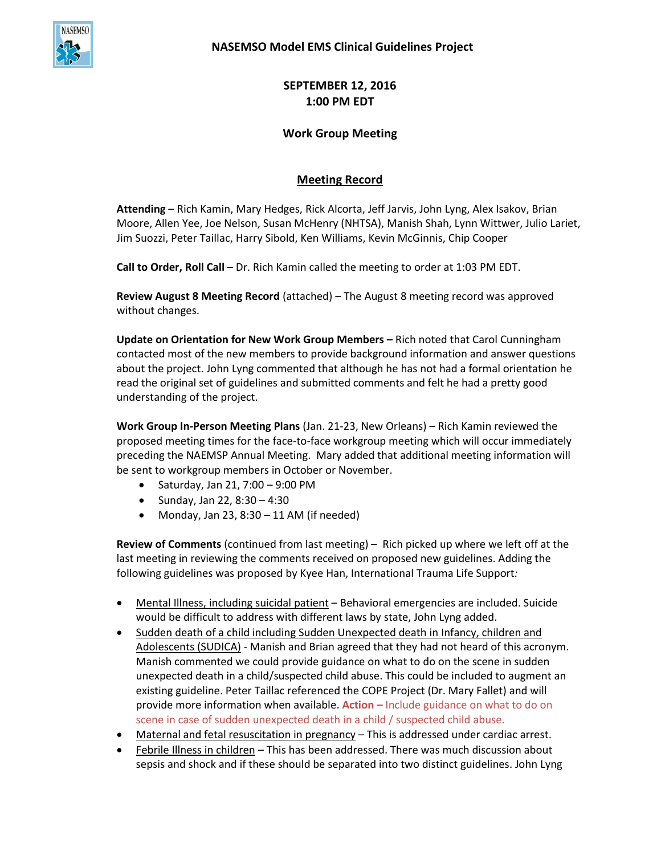

**SEPTEMBER 12, 2016 1:00 PM EDT**

## **Work Group Meeting**

## **Meeting Record**

**Attending** – Rich Kamin, Mary Hedges, Rick Alcorta, Jeff Jarvis, John Lyng, Alex Isakov, Brian Moore, Allen Yee, Joe Nelson, Susan McHenry (NHTSA), Manish Shah, Lynn Wittwer, Julio Lariet, Jim Suozzi, Peter Taillac, Harry Sibold, Ken Williams, Kevin McGinnis, Chip Cooper

**Call to Order, Roll Call** – Dr. Rich Kamin called the meeting to order at 1:03 PM EDT.

**Review August 8 Meeting Record** (attached) – The August 8 meeting record was approved without changes.

**Update on Orientation for New Work Group Members –** Rich noted that Carol Cunningham contacted most of the new members to provide background information and answer questions about the project. John Lyng commented that although he has not had a formal orientation he read the original set of guidelines and submitted comments and felt he had a pretty good understanding of the project.

**Work Group In-Person Meeting Plans** (Jan. 21-23, New Orleans) – Rich Kamin reviewed the proposed meeting times for the face-to-face workgroup meeting which will occur immediately preceding the NAEMSP Annual Meeting. Mary added that additional meeting information will be sent to workgroup members in October or November.

- $\bullet$  Saturday, Jan 21, 7:00 9:00 PM
- $\bullet$  Sunday, Jan 22, 8:30 4:30
- Monday, Jan 23,  $8:30 11$  AM (if needed)

**Review of Comments** (continued from last meeting) – Rich picked up where we left off at the last meeting in reviewing the comments received on proposed new guidelines. Adding the following guidelines was proposed by Kyee Han, International Trauma Life Support*:*

- Mental Illness, including suicidal patient Behavioral emergencies are included. Suicide would be difficult to address with different laws by state, John Lyng added.
- Sudden death of a child including Sudden Unexpected death in Infancy, children and Adolescents (SUDICA) - Manish and Brian agreed that they had not heard of this acronym. Manish commented we could provide guidance on what to do on the scene in sudden unexpected death in a child/suspected child abuse. This could be included to augment an existing guideline. Peter Taillac referenced the COPE Project (Dr. Mary Fallet) and will provide more information when available. **Action –** Include guidance on what to do on scene in case of sudden unexpected death in a child / suspected child abuse.
- Maternal and fetal resuscitation in pregnancy This is addressed under cardiac arrest.
- Febrile Illness in children This has been addressed. There was much discussion about sepsis and shock and if these should be separated into two distinct guidelines. John Lyng